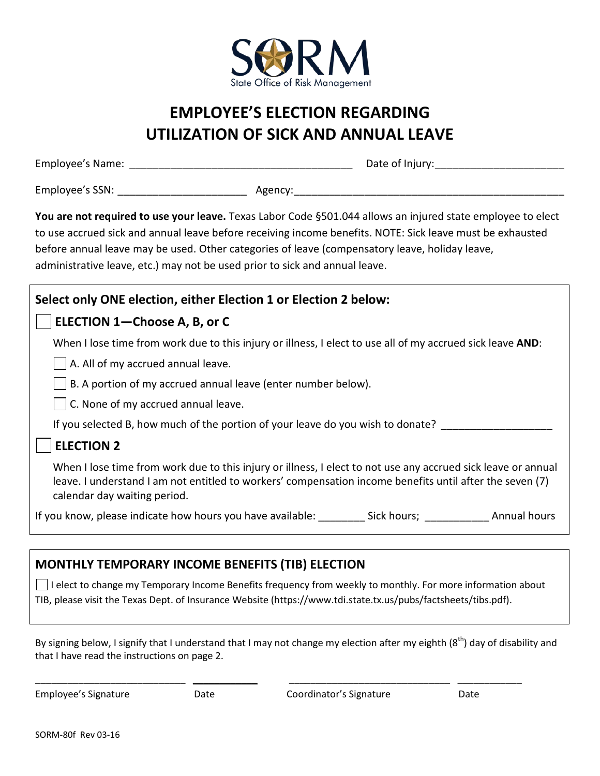

# **EMPLOYEE'S ELECTION REGARDING UTILIZATION OF SICK AND ANNUAL LEAVE**

\_\_\_\_\_\_\_\_\_\_\_\_\_\_\_\_\_\_\_\_\_\_\_\_\_\_\_\_\_\_\_\_\_\_\_\_\_\_ \_\_\_\_\_\_\_\_\_\_\_\_\_\_\_\_\_\_\_\_\_\_ Employee's Name: Date of Injury:

\_\_\_\_\_\_\_\_\_\_\_\_\_\_\_\_\_\_\_\_\_\_ \_\_\_\_\_\_\_\_\_\_\_\_\_\_\_\_\_\_\_\_\_\_\_\_\_\_\_\_\_\_\_\_\_\_\_\_\_\_\_\_\_\_\_\_\_\_ Employee's SSN: Agency:

You are not required to use your leave. Texas Labor Code §501.044 allows an injured state employee to elect to use accrued sick and annual leave before receiving income benefits. NOTE: Sick leave must be exhausted before annual leave may be used. Other categories of leave (compensatory leave, holiday leave, administrative leave, etc.) may not be used prior to sick and annual leave.

| Select only ONE election, either Election 1 or Election 2 below:                                                                                                                                                                                          |
|-----------------------------------------------------------------------------------------------------------------------------------------------------------------------------------------------------------------------------------------------------------|
| ELECTION 1-Choose A, B, or C                                                                                                                                                                                                                              |
| When I lose time from work due to this injury or illness, I elect to use all of my accrued sick leave AND:                                                                                                                                                |
| A. All of my accrued annual leave.                                                                                                                                                                                                                        |
| B. A portion of my accrued annual leave (enter number below).                                                                                                                                                                                             |
| C. None of my accrued annual leave.                                                                                                                                                                                                                       |
| If you selected B, how much of the portion of your leave do you wish to donate?                                                                                                                                                                           |
| <b>ELECTION 2</b>                                                                                                                                                                                                                                         |
| When I lose time from work due to this injury or illness, I elect to not use any accrued sick leave or annual<br>leave. I understand I am not entitled to workers' compensation income benefits until after the seven (7)<br>calendar day waiting period. |
| If you know, please indicate how hours you have available: Sick hours;<br>Annual hours                                                                                                                                                                    |

## **MONTHLY TEMPORARY INCOME BENEFITS (TIB) ELECTION**

 $\Box$  I elect to change my Temporary Income Benefits frequency from weekly to monthly. For more information about TIB, please visit the Texas Dept. of Insurance Website (https://www.tdi.state.tx.us/pubs/factsheets/tibs.pdf).

By signing below, I signify that I understand that I may not change my election after my eighth (8<sup>th</sup>) day of disability and that I have read the instructions on page 2.

\_\_\_\_\_\_\_\_\_\_\_\_\_\_\_\_\_\_\_\_\_\_\_\_\_\_\_\_ \_\_\_\_\_\_\_\_\_\_\_\_ \_\_\_\_\_\_\_\_\_\_\_\_\_\_\_\_\_\_\_\_\_\_\_\_\_\_\_\_\_\_ \_\_\_\_\_\_\_\_\_\_\_\_

Employee's Signature **Coordination** Coordinator's Signature Coordinator's Signature